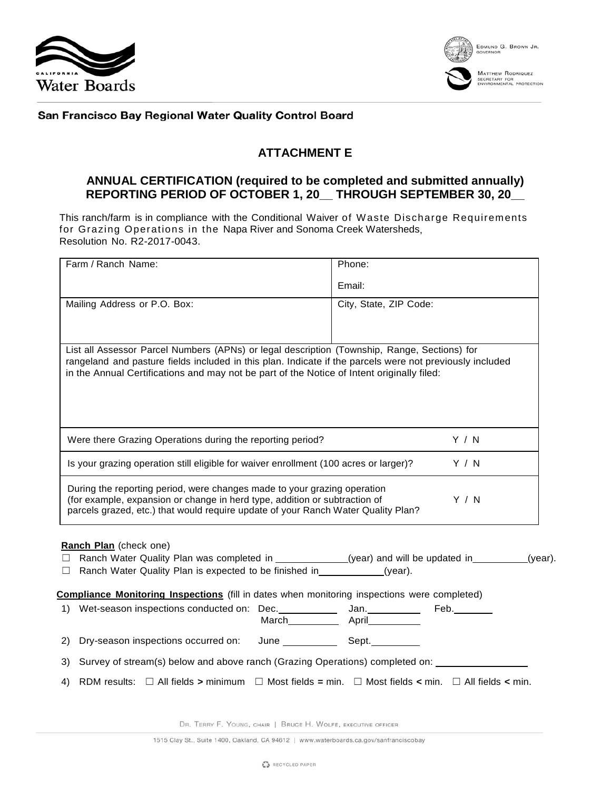



San Francisco Bay Regional Water Quality Control Board

## **ATTACHMENT E**

## **ANNUAL CERTIFICATION (required to be completed and submitted annually) REPORTING PERIOD OF OCTOBER 1, 20\_\_ THROUGH SEPTEMBER 30, 20\_\_**

This ranch/farm is in compliance with the Conditional Waiver of Waste Discharge Requirements for Grazing Operations in the Napa River and Sonoma Creek Watersheds, Resolution No. R2-2017-0043.

| Farm / Ranch Name:                                                                                                                                                                                                                                                                                     |       | Phone:                 |       |  |
|--------------------------------------------------------------------------------------------------------------------------------------------------------------------------------------------------------------------------------------------------------------------------------------------------------|-------|------------------------|-------|--|
|                                                                                                                                                                                                                                                                                                        |       | Email:                 |       |  |
| Mailing Address or P.O. Box:                                                                                                                                                                                                                                                                           |       | City, State, ZIP Code: |       |  |
|                                                                                                                                                                                                                                                                                                        |       |                        |       |  |
| List all Assessor Parcel Numbers (APNs) or legal description (Township, Range, Sections) for<br>rangeland and pasture fields included in this plan. Indicate if the parcels were not previously included<br>in the Annual Certifications and may not be part of the Notice of Intent originally filed: |       |                        |       |  |
| Were there Grazing Operations during the reporting period?                                                                                                                                                                                                                                             | Y / N |                        |       |  |
| Y / N<br>Is your grazing operation still eligible for waiver enrollment (100 acres or larger)?                                                                                                                                                                                                         |       |                        |       |  |
| During the reporting period, were changes made to your grazing operation<br>(for example, expansion or change in herd type, addition or subtraction of<br>parcels grazed, etc.) that would require update of your Ranch Water Quality Plan?                                                            |       |                        | Y / N |  |
| Ranch Plan (check one)<br>□ Ranch Water Quality Plan was completed in ___________(year) and will be updated in _______(year).<br>Ranch Water Quality Plan is expected to be finished in _____________(year).<br>ш                                                                                      |       |                        |       |  |
| <b>Compliance Monitoring Inspections</b> (fill in dates when monitoring inspections were completed)                                                                                                                                                                                                    |       |                        |       |  |
|                                                                                                                                                                                                                                                                                                        |       |                        |       |  |
|                                                                                                                                                                                                                                                                                                        |       |                        |       |  |
| Survey of stream(s) below and above ranch (Grazing Operations) completed on: _________<br>3)                                                                                                                                                                                                           |       |                        |       |  |
| RDM results: $\Box$ All fields > minimum $\Box$ Most fields = min. $\Box$ Most fields < min. $\Box$ All fields < min.<br>4)                                                                                                                                                                            |       |                        |       |  |

DR. TERRY F. YOUNG, CHAIR | BRUCE H. WOLFE, EXECUTIVE OFFICER

1515 Clay St., Suite 1400, Oakland, CA 94612 | www.waterboards.ca.gov/sanfranciscobay